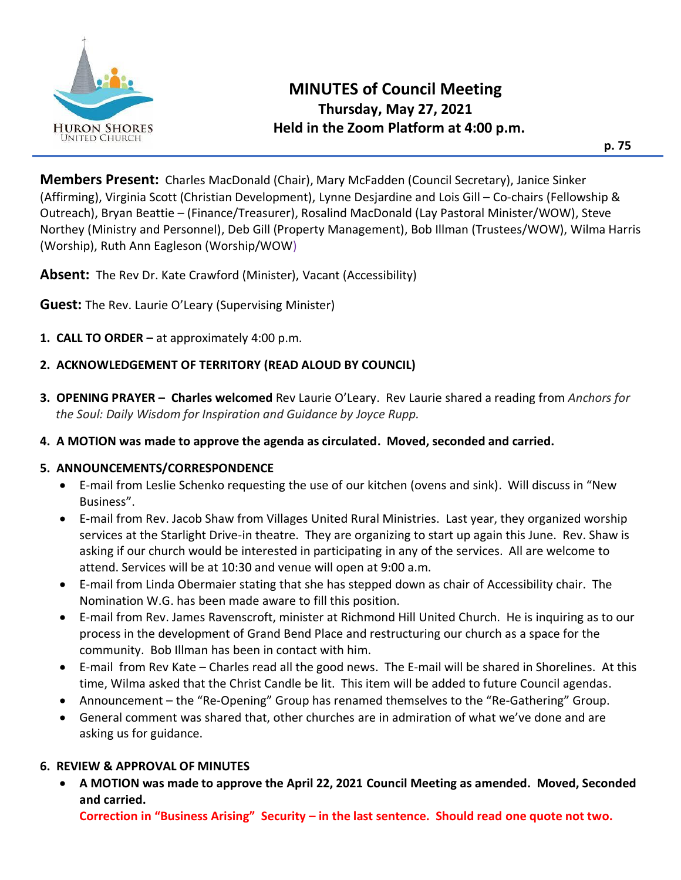

**Members Present:** Charles MacDonald (Chair), Mary McFadden (Council Secretary), Janice Sinker (Affirming), Virginia Scott (Christian Development), Lynne Desjardine and Lois Gill – Co-chairs (Fellowship & Outreach), Bryan Beattie – (Finance/Treasurer), Rosalind MacDonald (Lay Pastoral Minister/WOW), Steve Northey (Ministry and Personnel), Deb Gill (Property Management), Bob Illman (Trustees/WOW), Wilma Harris (Worship), Ruth Ann Eagleson (Worship/WOW)

**Absent:** The Rev Dr. Kate Crawford (Minister), Vacant (Accessibility)

**Guest:** The Rev. Laurie O'Leary (Supervising Minister)

- **1. CALL TO ORDER –** at approximately 4:00 p.m.
- **2. ACKNOWLEDGEMENT OF TERRITORY (READ ALOUD BY COUNCIL)**
- **3. OPENING PRAYER – Charles welcomed** Rev Laurie O'Leary. Rev Laurie shared a reading from *Anchors for the Soul: Daily Wisdom for Inspiration and Guidance by Joyce Rupp.*
- **4. A MOTION was made to approve the agenda as circulated. Moved, seconded and carried.**

#### **5. ANNOUNCEMENTS/CORRESPONDENCE**

- E-mail from Leslie Schenko requesting the use of our kitchen (ovens and sink). Will discuss in "New Business".
- E-mail from Rev. Jacob Shaw from Villages United Rural Ministries. Last year, they organized worship services at the Starlight Drive-in theatre. They are organizing to start up again this June. Rev. Shaw is asking if our church would be interested in participating in any of the services. All are welcome to attend. Services will be at 10:30 and venue will open at 9:00 a.m.
- E-mail from Linda Obermaier stating that she has stepped down as chair of Accessibility chair. The Nomination W.G. has been made aware to fill this position.
- E-mail from Rev. James Ravenscroft, minister at Richmond Hill United Church. He is inquiring as to our process in the development of Grand Bend Place and restructuring our church as a space for the community. Bob Illman has been in contact with him.
- E-mail from Rev Kate Charles read all the good news. The E-mail will be shared in Shorelines. At this time, Wilma asked that the Christ Candle be lit. This item will be added to future Council agendas.
- Announcement the "Re-Opening" Group has renamed themselves to the "Re-Gathering" Group.
- General comment was shared that, other churches are in admiration of what we've done and are asking us for guidance.

#### **6. REVIEW & APPROVAL OF MINUTES**

• **A MOTION was made to approve the April 22, 2021 Council Meeting as amended. Moved, Seconded and carried.**

**Correction in "Business Arising" Security – in the last sentence. Should read one quote not two.**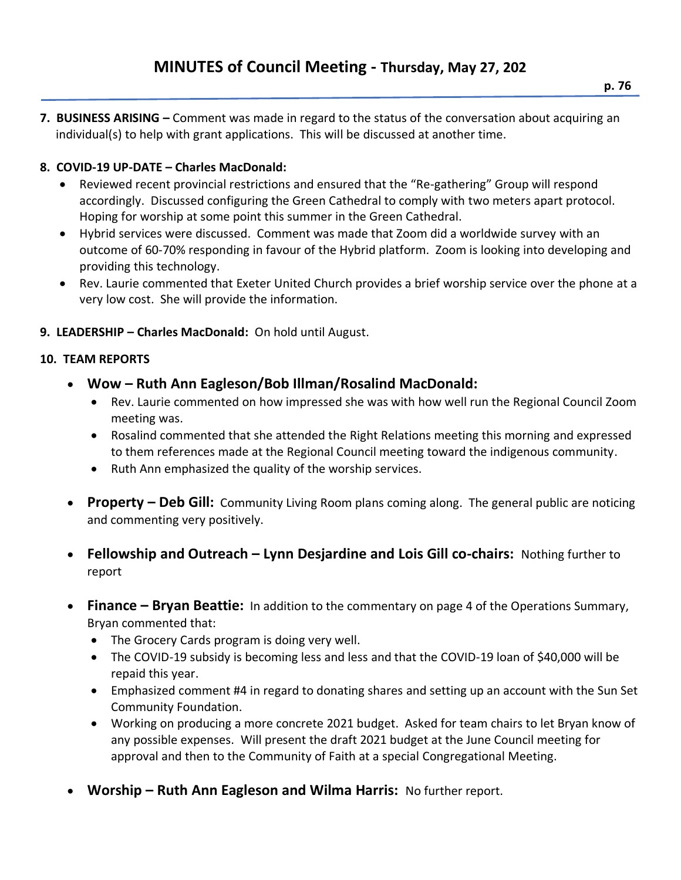**7. BUSINESS ARISING –** Comment was made in regard to the status of the conversation about acquiring an individual(s) to help with grant applications. This will be discussed at another time.

# **8. COVID-19 UP-DATE – Charles MacDonald:**

- Reviewed recent provincial restrictions and ensured that the "Re-gathering" Group will respond accordingly. Discussed configuring the Green Cathedral to comply with two meters apart protocol. Hoping for worship at some point this summer in the Green Cathedral.
- Hybrid services were discussed. Comment was made that Zoom did a worldwide survey with an outcome of 60-70% responding in favour of the Hybrid platform. Zoom is looking into developing and providing this technology.
- Rev. Laurie commented that Exeter United Church provides a brief worship service over the phone at a very low cost. She will provide the information.
- **9. LEADERSHIP – Charles MacDonald:** On hold until August.

### **10. TEAM REPORTS**

- **Wow – Ruth Ann Eagleson/Bob Illman/Rosalind MacDonald:** 
	- Rev. Laurie commented on how impressed she was with how well run the Regional Council Zoom meeting was.
	- Rosalind commented that she attended the Right Relations meeting this morning and expressed to them references made at the Regional Council meeting toward the indigenous community.
	- Ruth Ann emphasized the quality of the worship services.
- **Property – Deb Gill:** Community Living Room plans coming along. The general public are noticing and commenting very positively.
- **Fellowship and Outreach – Lynn Desjardine and Lois Gill co-chairs:** Nothing further to report
- **Finance – Bryan Beattie:** In addition to the commentary on page 4 of the Operations Summary, Bryan commented that:
	- The Grocery Cards program is doing very well.
	- The COVID-19 subsidy is becoming less and less and that the COVID-19 loan of \$40,000 will be repaid this year.
	- Emphasized comment #4 in regard to donating shares and setting up an account with the Sun Set Community Foundation.
	- Working on producing a more concrete 2021 budget. Asked for team chairs to let Bryan know of any possible expenses. Will present the draft 2021 budget at the June Council meeting for approval and then to the Community of Faith at a special Congregational Meeting.
- **Worship – Ruth Ann Eagleson and Wilma Harris:** No further report.